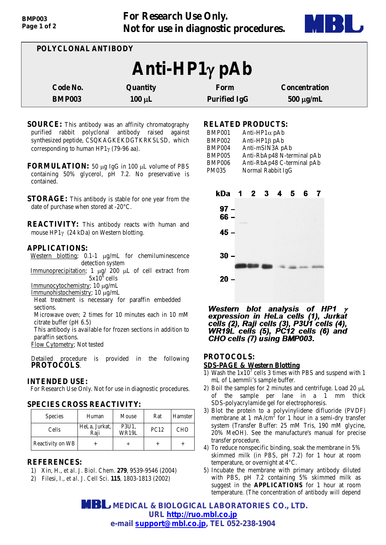**For Research Use Only. Not for use in diagnostic procedures.**



| POLYCLONAL ANTIBODY              |                         |                             |                                        |  |  |
|----------------------------------|-------------------------|-----------------------------|----------------------------------------|--|--|
| Anti-HP1γ pAb                    |                         |                             |                                        |  |  |
| <b>Code No.</b><br><b>BMP003</b> | Quantity<br>$100 \mu L$ | Form<br><b>Purified IgG</b> | <b>Concentration</b><br>$500 \mu g/mL$ |  |  |

- **SOURCE:** This antibody was an affinity chromatography purified rabbit polyclonal antibody raised against synthesized peptide, CSQKAGKEKDGTKRKSLSD, which corresponding to human HP1γ (79-96 aa).
- **FORMULATION:** 50 µg IgG in 100 µL volume of PBS containing 50% glycerol, pH 7.2. No preservative is contained.
- **STORAGE:** This antibody is stable for one year from the date of purchase when stored at -20°C.

**REACTIVITY:** This antibody reacts with human and mouse HP1γ (24 kDa) on Western blotting.

#### **APPLICATIONS:**

Western blotting; 0.1-1 µg/mL for chemiluminescence detection system

Immunoprecipitation; 1 µg/ 200 µL of cell extract from  $5x10^6$  cells

Immunocytochemistry; 10 µg/mL

Immunohistochemistry; 10 µg/mL

Heat treatment is necessary for paraffin embedded sections.

Microwave oven; 2 times for 10 minutes each in 10 mM citrate buffer (pH 6.5)

This antibody is available for frozen sections in addition to paraffin sections.

Flow Cytometry; Not tested

Detailed procedure is provided in the following **PROTOCOLS**.

# **INTENDED USE:**

For Research Use Only. Not for use in diagnostic procedures.

# **SPECIES CROSS REACTIVITY:**

| <b>Species</b>   | Human                 | Mouse          | Rat         | Hamster    |
|------------------|-----------------------|----------------|-------------|------------|
| Cells            | HeLa, Jurkat,<br>Raii | P3U1,<br>WR19L | <b>PC12</b> | <b>CHO</b> |
| Reactivity on WB |                       |                |             |            |

### **REFERENCES:**

- 1) Xin, H., *et al. J. Biol. Chem*. **279**, 9539-9546 (2004)
- 2) Filesi, I., *et al. J. Cell Sci*. **115**, 1803-1813 (2002)

## **RELATED PRODUCTS:**

| <b>BMP001</b> | Anti-HP $1\alpha$ pAb      |
|---------------|----------------------------|
| <b>BMP002</b> | Anti-HP $1\beta$ pAb       |
| <b>BMP004</b> | Anti-mSIN3A pAb            |
| <b>BMP005</b> | Anti-RbAp48 N-terminal pAb |
| <b>BMP006</b> | Anti-RbAp48 C-terminal pAb |
| <b>PM035</b>  | Normal Rabbit IgG          |



Western blot analysis of HP1 expression in HeLa cells (1), Jurkat cells (2), Raji cells (3), P3U1 cells (4),<br>WR19L cells (5), PC12 cells (6) and CHO cells (7) using BMP003.

# **PROTOCOLS:**

### **SDS-PAGE & Western Blotting**

- 1) Wash the  $1x10^7$  cells 3 times with PBS and suspend with 1 mL of Laemmli's sample buffer.
- 2) Boil the samples for 2 minutes and centrifuge. Load 20  $\mu$ L of the sample per lane in a 1 mm thick SDS-polyacrylamide gel for electrophoresis.
- 3) Blot the protein to a polyvinylidene difluoride (PVDF) membrane at 1 mA/cm<sup>2</sup> for 1 hour in a semi-dry transfer system (Transfer Buffer: 25 mM Tris, 190 mM glycine, 20% MeOH). See the manufacture's manual for precise transfer procedure.
- 4) To reduce nonspecific binding, soak the membrane in 5% skimmed milk (in PBS, pH 7.2) for 1 hour at room temperature, or overnight at 4°C.
- 5) Incubate the membrane with primary antibody diluted with PBS, pH 7.2 containing 5% skimmed milk as suggest in the **APPLICATIONS** for 1 hour at room temperature. (The concentration of antibody will depend

 **MEDICAL & BIOLOGICAL LABORATORIES CO., LTD. URL [http://ruo.mbl.co.jp](http://ruo.mbl.co.jp/) e-mail support@mbl.co.jp, TEL 052-238-1904**